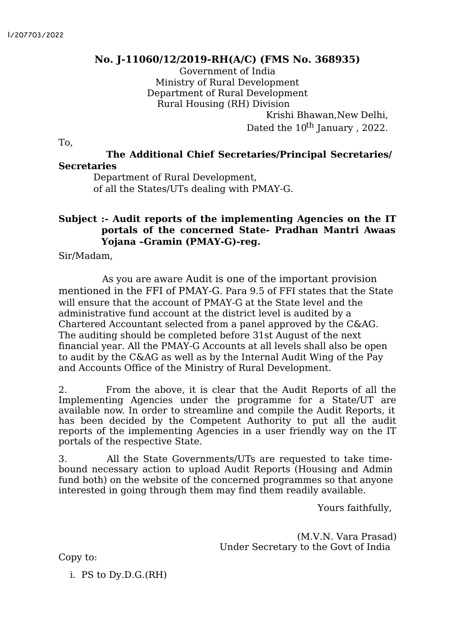## **No. J-11060/12/2019-RH(A/C) (FMS No. 368935)**

Government of India Ministry of Rural Development Department of Rural Development Rural Housing (RH) Division Krishi Bhawan,New Delhi, Dated the 10<sup>th</sup> January , 2022.

To,

**The Additional Chief Secretaries/Principal Secretaries/ Secretaries**

> Department of Rural Development, of all the States/UTs dealing with PMAY-G.

## **Subject :- Audit reports of the implementing Agencies on the IT portals of the concerned State- Pradhan Mantri Awaas Yojana –Gramin (PMAY-G)-reg.**

Sir/Madam,

As you are aware Audit is one of the important provision mentioned in the FFI of PMAY-G. Para 9.5 of FFI states that the State will ensure that the account of PMAY-G at the State level and the administrative fund account at the district level is audited by a Chartered Accountant selected from a panel approved by the C&AG. The auditing should be completed before 31st August of the next financial year. All the PMAY-G Accounts at all levels shall also be open to audit by the C&AG as well as by the Internal Audit Wing of the Pay and Accounts Office of the Ministry of Rural Development.

2. From the above, it is clear that the Audit Reports of all the Implementing Agencies under the programme for a State/UT are available now. In order to streamline and compile the Audit Reports, it has been decided by the Competent Authority to put all the audit reports of the implementing Agencies in a user friendly way on the IT portals of the respective State.

3. All the State Governments/UTs are requested to take timebound necessary action to upload Audit Reports (Housing and Admin fund both) on the website of the concerned programmes so that anyone interested in going through them may find them readily available.

Yours faithfully,

(M.V.N. Vara Prasad) Under Secretary to the Govt of India

Copy to:

i. PS to Dy.D.G.(RH)